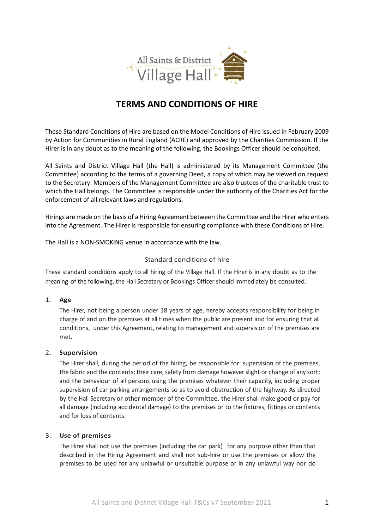

# **TERMS AND CONDITIONS OF HIRE**

These Standard Conditions of Hire are based on the Model Conditions of Hire issued in February 2009 by Action for Communities in Rural England (ACRE) and approved by the Charities Commission. If the Hirer is in any doubt as to the meaning of the following, the Bookings Officer should be consulted.

All Saints and District Village Hall (the Hall) is administered by its Management Committee (the Committee) according to the terms of a governing Deed, a copy of which may be viewed on request to the Secretary. Members of the Management Committee are also trustees of the charitable trust to which the Hall belongs. The Committee is responsible under the authority of the Charities Act for the enforcement of all relevant laws and regulations.

Hirings are made on the basis of a Hiring Agreement between the Committee and the Hirer who enters into the Agreement. The Hirer is responsible for ensuring compliance with these Conditions of Hire.

The Hall is a NON-SMOKING venue in accordance with the law.

# Standard conditions of hire

These standard conditions apply to all hiring of the Village Hall. If the Hirer is in any doubt as to the meaning of the following, the Hall Secretary or Bookings Officer should immediately be consulted.

## 1. **Age**

The Hirer, not being a person under 18 years of age, hereby accepts responsibility for being in charge of and on the premises at all times when the public are present and for ensuring that all conditions, under this Agreement, relating to management and supervision of the premises are met.

## 2. **Supervision**

The Hirer shall, during the period of the hiring, be responsible for: supervision of the premises, the fabric and the contents; their care, safety from damage howeverslight or change of any sort; and the behaviour of all persons using the premises whatever their capacity, including proper supervision of car parking arrangements so as to avoid obstruction of the highway. As directed by the Hall Secretary or other member of the Committee, the Hirer shall make good or pay for all damage (including accidental damage) to the premises or to the fixtures, fittings or contents and for loss of contents.

# 3. **Use of premises**

The Hirer shall not use the premises (including the car park) for any purpose other than that described in the Hiring Agreement and shall not sub-hire or use the premises or allow the premises to be used for any unlawful or unsuitable purpose or in any unlawful way nor do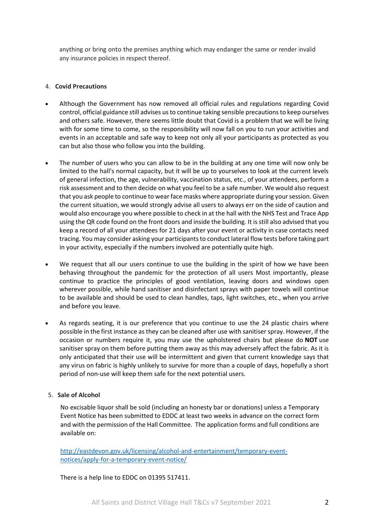anything or bring onto the premises anything which may endanger the same or render invalid any insurance policies in respect thereof.

## 4. **Covid Precautions**

- Although the Government has now removed all official rules and regulations regarding Covid control, official guidance still advises usto continue taking sensible precautions to keep ourselves and others safe. However, there seems little doubt that Covid is a problem that we will be living with for some time to come, so the responsibility will now fall on you to run your activities and events in an acceptable and safe way to keep not only all your participants as protected as you can but also those who follow you into the building.
- The number of users who you can allow to be in the building at any one time will now only be limited to the hall's normal capacity, but it will be up to yourselves to look at the current levels of general infection, the age, vulnerability, vaccination status, etc., of your attendees, perform a risk assessment and to then decide on what you feel to be a safe number. We would also request that you ask people to continue to wear face masks where appropriate during your session. Given the current situation, we would strongly advise all users to always err on the side of caution and would also encourage you where possible to check in at the hall with the NHS Test and Trace App using the QR code found on the front doors and inside the building. It is still also advised that you keep a record of all your attendees for 21 days after your event or activity in case contacts need tracing. You may consider asking your participants to conduct lateral flow tests before taking part in your activity, especially if the numbers involved are potentially quite high.
- We request that all our users continue to use the building in the spirit of how we have been behaving throughout the pandemic for the protection of all users Most importantly, please continue to practice the principles of good ventilation, leaving doors and windows open wherever possible, while hand sanitiser and disinfectant sprays with paper towels will continue to be available and should be used to clean handles, taps, light switches, etc., when you arrive and before you leave.
- As regards seating, it is our preference that you continue to use the 24 plastic chairs where possible in the first instance as they can be cleaned after use with sanitiser spray. However, if the occasion or numbers require it, you may use the upholstered chairs but please do **NOT** use sanitiser spray on them before putting them away as this may adversely affect the fabric. As it is only anticipated that their use will be intermittent and given that current knowledge says that any virus on fabric is highly unlikely to survive for more than a couple of days, hopefully a short period of non-use will keep them safe for the next potential users.

# 5. **Sale of Alcohol**

No excisable liquor shall be sold (including an honesty bar or donations) unless a Temporary Event Notice has been submitted to EDDC at least two weeks in advance on the correct form and with the permission of the Hall Committee. The application forms and full conditions are available on:

[http://eastdevon.gov.uk/licensing/alcohol-and-entertainment/temporary-event](http://eastdevon.gov.uk/licensing/alcohol-and-entertainment/temporary-event-notices/apply-for-a-temporary-event-notice/)[notices/apply-for-a-temporary-event-notice/](http://eastdevon.gov.uk/licensing/alcohol-and-entertainment/temporary-event-notices/apply-for-a-temporary-event-notice/)

There is a help line to EDDC on 01395 517411.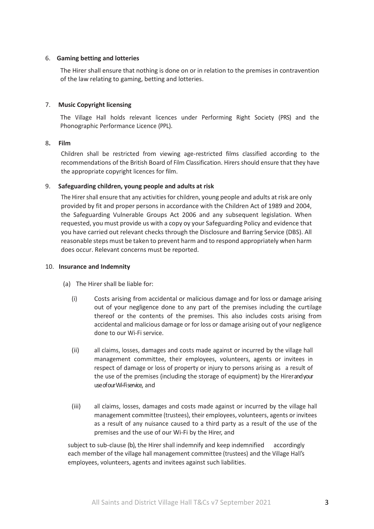### 6. **Gaming betting and lotteries**

The Hirer shall ensure that nothing is done on or in relation to the premises in contravention of the law relating to gaming, betting and lotteries.

#### 7. **Music Copyright licensing**

The Village Hall holds relevant licences under Performing Right Society (PRS) and the Phonographic Performance Licence (PPL).

#### 8**. Film**

Children shall be restricted from viewing age-restricted films classified according to the recommendations of the British Board of Film Classification. Hirers should ensure that they have the appropriate copyright licences for film.

#### 9. **Safeguarding children, young people and adults at risk**

The Hirer shall ensure that any activities for children, young people and adults at risk are only provided by fit and proper persons in accordance with the Children Act of 1989 and 2004, the Safeguarding Vulnerable Groups Act 2006 and any subsequent legislation. When requested, you must provide us with a copy oy your Safeguarding Policy and evidence that you have carried out relevant checks through the Disclosure and Barring Service (DBS). All reasonable steps must be taken to prevent harm and to respond appropriately when harm does occur. Relevant concerns must be reported.

#### 10. **Insurance and Indemnity**

- (a) The Hirer shall be liable for:
	- (i) Costs arising from accidental or malicious damage and for loss or damage arising out of your negligence done to any part of the premises including the curtilage thereof or the contents of the premises. This also includes costs arising from accidental and malicious damage or for loss or damage arising out of your negligence done to our Wi-Fi service.
	- (ii) all claims, losses, damages and costs made against or incurred by the village hall management committee, their employees, volunteers, agents or invitees in respect of damage or loss of property or injury to persons arising as a result of the use of the premises (including the storage of equipment) by the Hirerand your use of our Wi-Fiservice, and
	- (iii) all claims, losses, damages and costs made against or incurred by the village hall management committee (trustees), their employees, volunteers, agents or invitees as a result of any nuisance caused to a third party as a result of the use of the premises and the use of our Wi-Fi by the Hirer, and

subject to sub-clause (b), the Hirer shall indemnify and keep indemnified accordingly each member of the village hall management committee (trustees) and the Village Hall's employees, volunteers, agents and invitees against such liabilities.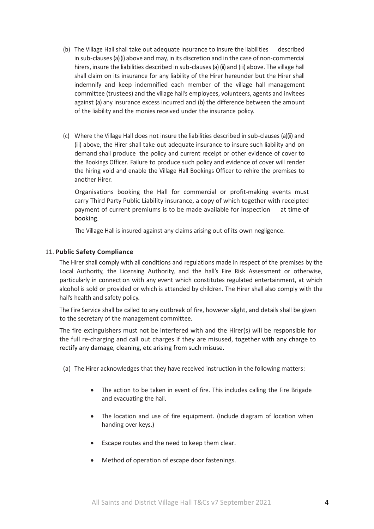- (b) The Village Hall shall take out adequate insurance to insure the liabilities described in sub-clauses (a)(i) above and may, in its discretion and in the case of non-commercial hirers, insure the liabilities described in sub-clauses (a)(ii) and (iii) above. The village hall shall claim on its insurance for any liability of the Hirer hereunder but the Hirer shall indemnify and keep indemnified each member of the village hall management committee (trustees) and the village hall's employees, volunteers, agents and invitees against (a) any insurance excess incurred and (b) the difference between the amount of the liability and the monies received under the insurance policy.
- (c) Where the Village Hall does not insure the liabilities described in sub-clauses (a)(ii) and (iii) above, the Hirer shall take out adequate insurance to insure such liability and on demand shall produce the policy and current receipt or other evidence of cover to the Bookings Officer. Failure to produce such policy and evidence of cover will render the hiring void and enable the Village Hall Bookings Officer to rehire the premises to another Hirer.

Organisations booking the Hall for commercial or profit-making events must carry Third Party Public Liability insurance, a copy of which together with receipted payment of current premiums is to be made available for inspection at time of booking.

The Village Hall is insured against any claims arising out of its own negligence.

## 11. **Public Safety Compliance**

The Hirer shall comply with all conditions and regulations made in respect of the premises by the Local Authority, the Licensing Authority, and the hall's Fire Risk Assessment or otherwise, particularly in connection with any event which constitutes regulated entertainment, at which alcohol is sold or provided or which is attended by children. The Hirer shall also comply with the hall's health and safety policy.

The Fire Service shall be called to any outbreak of fire, however slight, and details shall be given to the secretary of the management committee.

The fire extinguishers must not be interfered with and the Hirer(s) will be responsible for the full re-charging and call out charges if they are misused, together with any charge to rectify any damage, cleaning, etc arising from such misuse.

- (a) The Hirer acknowledges that they have received instruction in the following matters:
	- The action to be taken in event of fire. This includes calling the Fire Brigade and evacuating the hall.
	- The location and use of fire equipment. (Include diagram of location when handing over keys.)
	- Escape routes and the need to keep them clear.
	- Method of operation of escape door fastenings.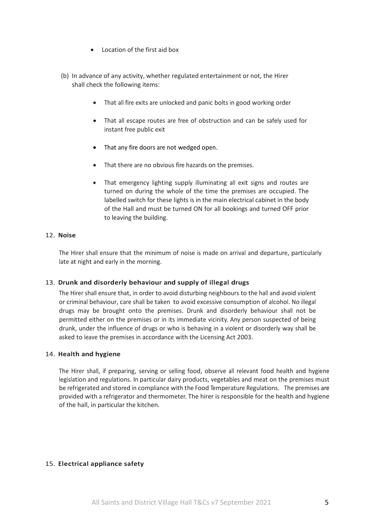- Location of the first aid box
- (b) In advance of any activity, whether regulated entertainment or not, the Hirer shall check the following items:
	- That all fire exits are unlocked and panic bolts in good working order
	- That all escape routes are free of obstruction and can be safely used for instant free public exit
	- That any fire doors are not wedged open.
	- That there are no obvious fire hazards on the premises.
	- That emergency lighting supply illuminating all exit signs and routes are turned on during the whole of the time the premises are occupied. The labelled switch for these lights is in the main electrical cabinet in the body of the Hall and must be turned ON for all bookings and turned OFF prior to leaving the building.

# 12. **Noise**

The Hirer shall ensure that the minimum of noise is made on arrival and departure, particularly late at night and early in the morning.

## 13. **Drunk and disorderly behaviour and supply of illegal drugs**

The Hirer shall ensure that, in order to avoid disturbing neighbours to the hall and avoid violent or criminal behaviour, care shall be taken to avoid excessive consumption of alcohol. No illegal drugs may be brought onto the premises. Drunk and disorderly behaviour shall not be permitted either on the premises or in its immediate vicinity. Any person suspected of being drunk, under the influence of drugs or who is behaving in a violent or disorderly way shall be asked to leave the premises in accordance with the Licensing Act 2003.

## 14. **Health and hygiene**

The Hirer shall, if preparing, serving or selling food, observe all relevant food health and hygiene legislation and regulations. In particular dairy products, vegetables and meat on the premises must be refrigerated and stored in compliance with the Food Temperature Regulations. The premises are provided with a refrigerator and thermometer. The hirer is responsible for the health and hygiene of the hall, in particular the kitchen.

## 15. **Electrical appliance safety**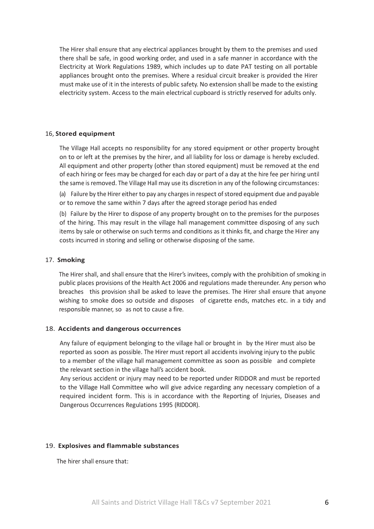The Hirer shall ensure that any electrical appliances brought by them to the premises and used there shall be safe, in good working order, and used in a safe manner in accordance with the Electricity at Work Regulations 1989, which includes up to date PAT testing on all portable appliances brought onto the premises. Where a residual circuit breaker is provided the Hirer must make use of it in the interests of public safety. No extension shall be made to the existing electricity system. Access to the main electrical cupboard is strictly reserved for adults only.

#### 16, **Stored equipment**

The Village Hall accepts no responsibility for any stored equipment or other property brought on to or left at the premises by the hirer, and all liability for loss or damage is hereby excluded. All equipment and other property (other than stored equipment) must be removed at the end of each hiring or fees may be charged for each day or part of a day at the hire fee per hiring until the same is removed. The Village Hall may use its discretion in any of the following circumstances:

(a) Failure by the Hirer either to pay any charges in respect of stored equipment due and payable or to remove the same within 7 days after the agreed storage period has ended

(b) Failure by the Hirer to dispose of any property brought on to the premises for the purposes of the hiring. This may result in the village hall management committee disposing of any such items by sale or otherwise on such terms and conditions as it thinks fit, and charge the Hirer any costs incurred in storing and selling or otherwise disposing of the same.

#### 17. **Smoking**

The Hirer shall, and shall ensure that the Hirer's invitees, comply with the prohibition of smoking in public places provisions of the Health Act 2006 and regulations made thereunder. Any person who breaches this provision shall be asked to leave the premises. The Hirer shall ensure that anyone wishing to smoke does so outside and disposes of cigarette ends, matches etc. in a tidy and responsible manner, so as not to cause a fire.

#### 18. **Accidents and dangerous occurrences**

Any failure of equipment belonging to the village hall or brought in by the Hirer must also be reported as soon as possible. The Hirer must report all accidents involving injury to the public to a member of the village hall management committee as soon as possible and complete the relevant section in the village hall's accident book.

Any serious accident or injury may need to be reported under RIDDOR and must be reported to the Village Hall Committee who will give advice regarding any necessary completion of a required incident form. This is in accordance with the Reporting of Injuries, Diseases and Dangerous Occurrences Regulations 1995 (RIDDOR).

#### 19. **Explosives and flammable substances**

The hirer shall ensure that: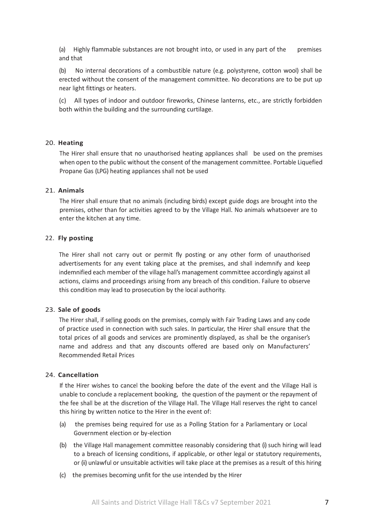(a) Highly flammable substances are not brought into, or used in any part of the premises and that

(b) No internal decorations of a combustible nature (e.g. polystyrene, cotton wool) shall be erected without the consent of the management committee. No decorations are to be put up near light fittings or heaters.

(c) All types of indoor and outdoor fireworks, Chinese lanterns, etc., are strictly forbidden both within the building and the surrounding curtilage.

#### 20. **Heating**

The Hirer shall ensure that no unauthorised heating appliances shall be used on the premises when open to the public without the consent of the management committee. Portable Liquefied Propane Gas (LPG) heating appliances shall not be used

### 21. **Animals**

The Hirer shall ensure that no animals (including birds) except guide dogs are brought into the premises, other than for activities agreed to by the Village Hall. No animals whatsoever are to enter the kitchen at any time.

#### 22. **Fly posting**

The Hirer shall not carry out or permit fly posting or any other form of unauthorised advertisements for any event taking place at the premises, and shall indemnify and keep indemnified each member of the village hall's management committee accordingly against all actions, claims and proceedings arising from any breach of this condition. Failure to observe this condition may lead to prosecution by the local authority.

#### 23. **Sale of goods**

The Hirer shall, if selling goods on the premises, comply with Fair Trading Laws and any code of practice used in connection with such sales. In particular, the Hirer shall ensure that the total prices of all goods and services are prominently displayed, as shall be the organiser's name and address and that any discounts offered are based only on Manufacturers' Recommended Retail Prices

#### 24. **Cancellation**

If the Hirer wishes to cancel the booking before the date of the event and the Village Hall is unable to conclude a replacement booking, the question of the payment or the repayment of the fee shall be at the discretion of the Village Hall. The Village Hall reserves the right to cancel this hiring by written notice to the Hirer in the event of:

- (a) the premises being required for use as a Polling Station for a Parliamentary or Local Government election or by-election
- (b) the Village Hall management committee reasonably considering that (i) such hiring will lead to a breach of licensing conditions, if applicable, or other legal or statutory requirements, or (ii) unlawful or unsuitable activities will take place at the premises as a result of this hiring
- (c) the premises becoming unfit for the use intended by the Hirer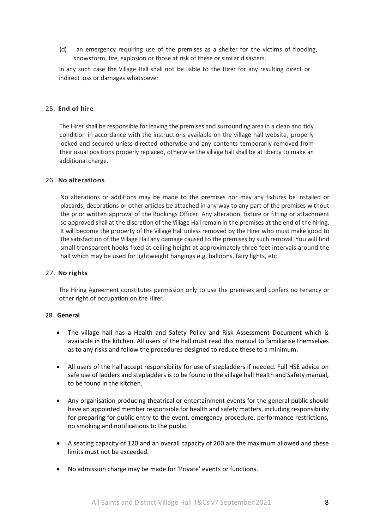(d) an emergency requiring use of the premises as a shelter for the victims of flooding, snowstorm, fire, explosion or those at risk of these or similar disasters.

In any such case the Village Hall shall not be liable to the Hirer for any resulting direct or indirect loss or damages whatsoever

## 25. **End of hire**

The Hirer shall be responsible for leaving the premises and surrounding area in a clean and tidy condition in accordance with the instructions available on the village hall website, properly locked and secured unless directed otherwise and any contents temporarily removed from their usual positions properly replaced, otherwise the village hall shall be at liberty to make an additional charge.

## 26. **No alterations**

No alterations or additions may be made to the premises nor may any fixtures be installed or placards, decorations or other articles be attached in any way to any part of the premises without the prior written approval of the Bookings Officer. Any alteration, fixture or fitting or attachment so approved shall at the discretion of the Village Hall remain in the premises at the end of the hiring. It will become the property of the Village Hall unless removed by the Hirer who must make good to the satisfaction of the Village Hall any damage caused to the premises by such removal. You will find small transparent hooks fixed at ceiling height at approximately three feet intervals around the hall which may be used for lightweight hangings e.g. balloons, fairy lights, etc

## 27. **No rights**

The Hiring Agreement constitutes permission only to use the premises and confers no tenancy or other right of occupation on the Hirer.

## 28. **General**

- The village hall has a Health and Safety Policy and Risk Assessment Document which is available in the kitchen. All users of the hall must read this manual to familiarise themselves as to any risks and follow the procedures designed to reduce these to a minimum.
- All users of the hall accept responsibility for use of stepladders if needed. Full HSE advice on safe use of ladders and stepladders is to be found in the village hall Health and Safety manual, to be found in the kitchen.
- Any organisation producing theatrical or entertainment events for the general public should have an appointed member responsible for health and safety matters, including responsibility for preparing for public entry to the event, emergency procedure, performance restrictions, no smoking and notifications to the public.
- A seating capacity of 120 and an overall capacity of 200 are the maximum allowed and these limits must not be exceeded.
- No admission charge may be made for 'Private' events or functions.